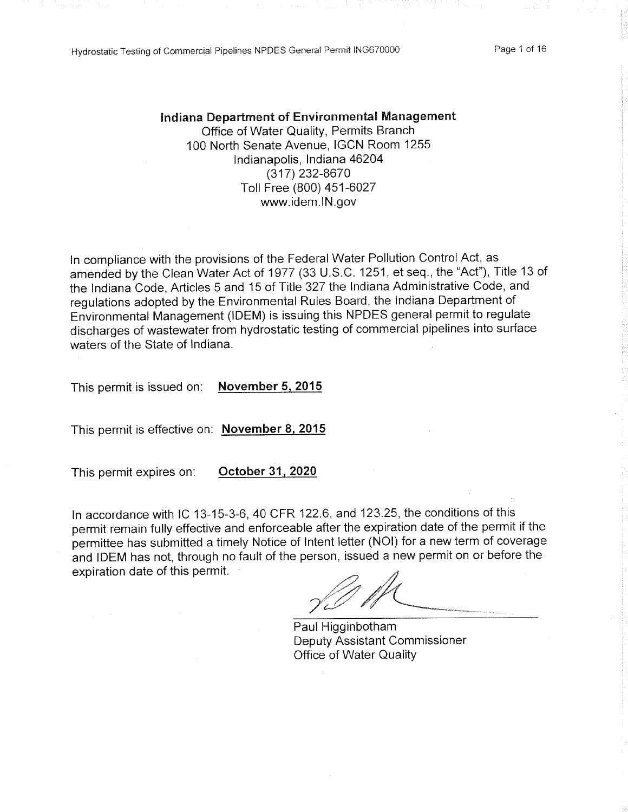Hydrostatic Testing of Commercial Pipelines NPDES General Permit ING670000

### Indiana Department of Environmental Management Office of Water Quality, Permits Branch 100 North Senate Avenue, IGCN Room 1255 Indianapolis, Indiana 46204 (317) 232-8670 Toll Free (800) 451-6027 www.idem.IN.gov

In compliance with the provisions of the Federal Water Pollution Control Act, as amended by the Clean Water Act of 1977 (33 U.S.C. 1251, et seq., the "Act"), Title 13 of the Indiana Code, Articles 5 and 15 of Title 327 the Indiana Administrative Code, and regulations adopted by the Environmental Rules Board, the Indiana Department of Environmental Management (IDEM) is issuing this NPDES general permit to regulate discharges of wastewater from hydrostatic testing of commercial pipelines into surface waters of the State of Indiana.

**November 5, 2015** This permit is issued on:

This permit is effective on: November 8, 2015

October 31, 2020 This permit expires on:

In accordance with IC 13-15-3-6, 40 CFR 122.6, and 123.25, the conditions of this permit remain fully effective and enforceable after the expiration date of the permit if the permittee has submitted a timely Notice of Intent letter (NOI) for a new term of coverage and IDEM has not, through no fault of the person, issued a new permit on or before the expiration date of this permit.

Paul Higginbotham **Deputy Assistant Commissioner** Office of Water Quality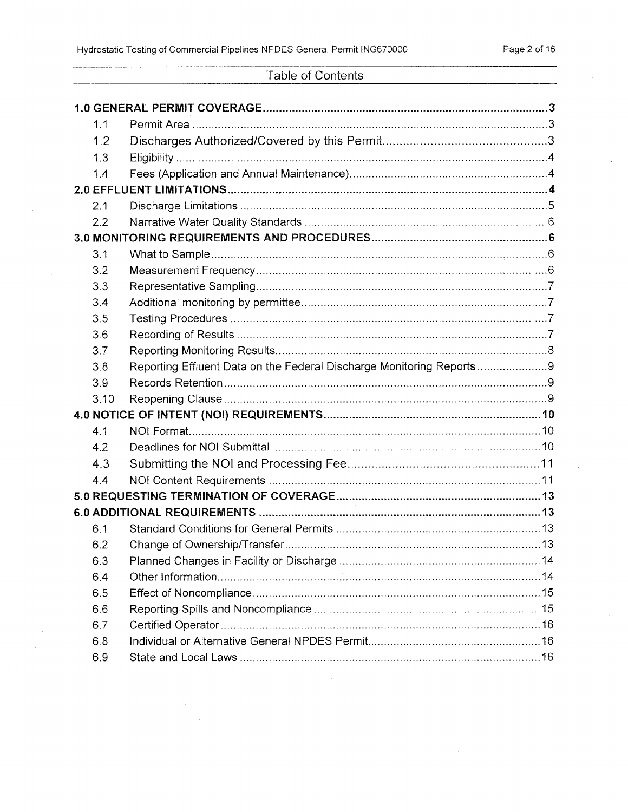$\mathcal{L}$ 

 $\bar{\mathcal{A}}$ 

# Table of Contents

|     | 1.1                                                                  |  |
|-----|----------------------------------------------------------------------|--|
|     | 1.2                                                                  |  |
|     | 1.3                                                                  |  |
|     | 1.4                                                                  |  |
|     |                                                                      |  |
| 2.1 |                                                                      |  |
| 2.2 |                                                                      |  |
|     |                                                                      |  |
| 3.1 |                                                                      |  |
| 3.2 |                                                                      |  |
| 3.3 |                                                                      |  |
| 3.4 |                                                                      |  |
| 3.5 |                                                                      |  |
| 3.6 |                                                                      |  |
| 3.7 |                                                                      |  |
| 3.8 | Reporting Effluent Data on the Federal Discharge Monitoring Reports9 |  |
| 3.9 |                                                                      |  |
|     | 3.10                                                                 |  |
|     |                                                                      |  |
| 4.1 |                                                                      |  |
| 4.2 |                                                                      |  |
|     | 4.3                                                                  |  |
| 4.4 |                                                                      |  |
|     |                                                                      |  |
|     |                                                                      |  |
| 6.1 |                                                                      |  |
| 6.2 |                                                                      |  |
| 6.3 |                                                                      |  |
| 6.4 |                                                                      |  |
| 6.5 |                                                                      |  |
| 6.6 |                                                                      |  |
| 6.7 |                                                                      |  |
| 6.8 |                                                                      |  |
| 6.9 |                                                                      |  |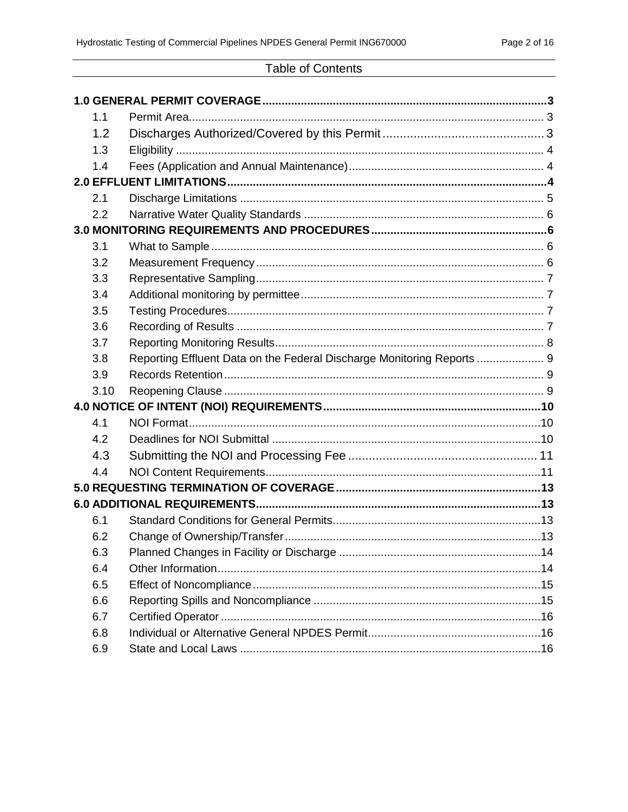# **Table of Contents**

| 1.1  |                                                                        |  |
|------|------------------------------------------------------------------------|--|
| 1.2  |                                                                        |  |
| 1.3  |                                                                        |  |
| 1.4  |                                                                        |  |
|      |                                                                        |  |
| 2.1  |                                                                        |  |
| 2.2  |                                                                        |  |
|      |                                                                        |  |
| 3.1  |                                                                        |  |
| 3.2  |                                                                        |  |
| 3.3  |                                                                        |  |
| 3.4  |                                                                        |  |
| 3.5  |                                                                        |  |
| 3.6  |                                                                        |  |
| 3.7  |                                                                        |  |
| 3.8  | Reporting Effluent Data on the Federal Discharge Monitoring Reports  9 |  |
| 3.9  |                                                                        |  |
| 3.10 |                                                                        |  |
|      |                                                                        |  |
| 4.1  |                                                                        |  |
| 4.2  |                                                                        |  |
| 4.3  |                                                                        |  |
| 4.4  |                                                                        |  |
|      |                                                                        |  |
|      |                                                                        |  |
| 6.1  |                                                                        |  |
| 6.2  |                                                                        |  |
| 6.3  |                                                                        |  |
| 6.4  |                                                                        |  |
| 6.5  |                                                                        |  |
| 6.6  |                                                                        |  |
| 6.7  |                                                                        |  |
| 6.8  |                                                                        |  |
| 6.9  |                                                                        |  |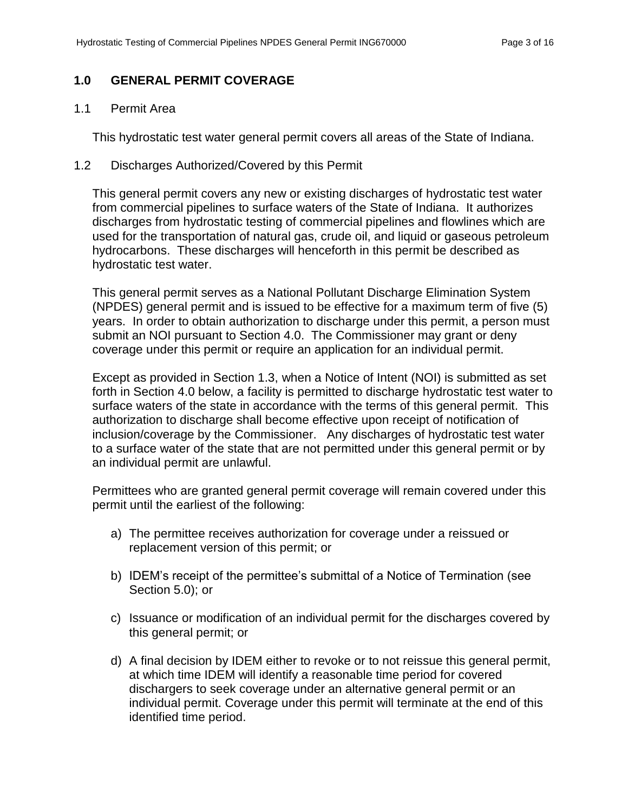# <span id="page-3-0"></span>**1.0 GENERAL PERMIT COVERAGE**

## <span id="page-3-1"></span>1.1 Permit Area

This hydrostatic test water general permit covers all areas of the State of Indiana.

#### <span id="page-3-2"></span>1.2 Discharges Authorized/Covered by this Permit

This general permit covers any new or existing discharges of hydrostatic test water from commercial pipelines to surface waters of the State of Indiana. It authorizes discharges from hydrostatic testing of commercial pipelines and flowlines which are used for the transportation of natural gas, crude oil, and liquid or gaseous petroleum hydrocarbons. These discharges will henceforth in this permit be described as hydrostatic test water.

This general permit serves as a National Pollutant Discharge Elimination System (NPDES) general permit and is issued to be effective for a maximum term of five (5) years. In order to obtain authorization to discharge under this permit, a person must submit an NOI pursuant to Section 4.0. The Commissioner may grant or deny coverage under this permit or require an application for an individual permit.

Except as provided in Section 1.3, when a Notice of Intent (NOI) is submitted as set forth in Section 4.0 below, a facility is permitted to discharge hydrostatic test water to surface waters of the state in accordance with the terms of this general permit. This authorization to discharge shall become effective upon receipt of notification of inclusion/coverage by the Commissioner. Any discharges of hydrostatic test water to a surface water of the state that are not permitted under this general permit or by an individual permit are unlawful.

Permittees who are granted general permit coverage will remain covered under this permit until the earliest of the following:

- a) The permittee receives authorization for coverage under a reissued or replacement version of this permit; or
- b) IDEM's receipt of the permittee's submittal of a Notice of Termination (see Section 5.0); or
- c) Issuance or modification of an individual permit for the discharges covered by this general permit; or
- d) A final decision by IDEM either to revoke or to not reissue this general permit, at which time IDEM will identify a reasonable time period for covered dischargers to seek coverage under an alternative general permit or an individual permit. Coverage under this permit will terminate at the end of this identified time period.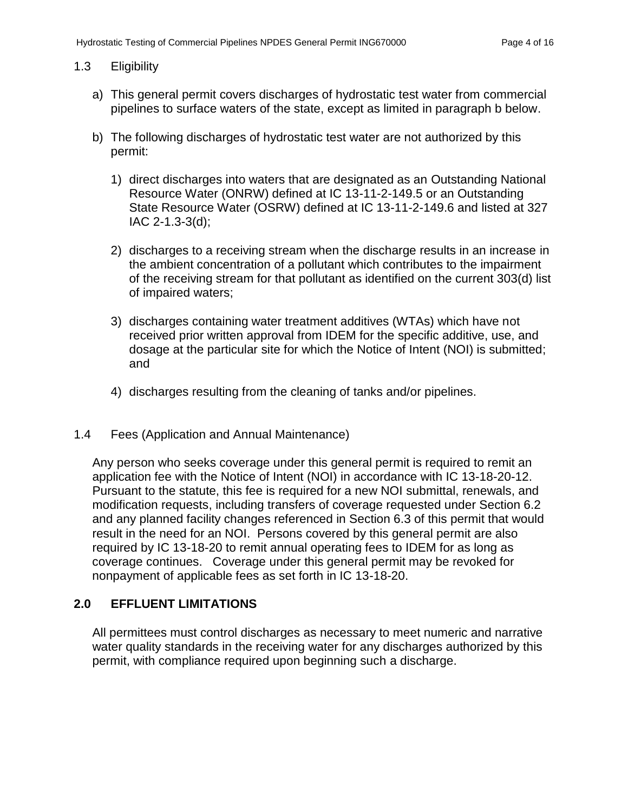## <span id="page-4-0"></span>1.3 Eligibility

- a) This general permit covers discharges of hydrostatic test water from commercial pipelines to surface waters of the state, except as limited in paragraph b below.
- b) The following discharges of hydrostatic test water are not authorized by this permit:
	- 1) direct discharges into waters that are designated as an Outstanding National Resource Water (ONRW) defined at IC 13-11-2-149.5 or an Outstanding State Resource Water (OSRW) defined at IC 13-11-2-149.6 and listed at 327 IAC 2-1.3-3(d);
	- 2) discharges to a receiving stream when the discharge results in an increase in the ambient concentration of a pollutant which contributes to the impairment of the receiving stream for that pollutant as identified on the current 303(d) list of impaired waters;
	- 3) discharges containing water treatment additives (WTAs) which have not received prior written approval from IDEM for the specific additive, use, and dosage at the particular site for which the Notice of Intent (NOI) is submitted; and
	- 4) discharges resulting from the cleaning of tanks and/or pipelines.

#### <span id="page-4-1"></span>1.4 Fees (Application and Annual Maintenance)

Any person who seeks coverage under this general permit is required to remit an application fee with the Notice of Intent (NOI) in accordance with IC 13-18-20-12. Pursuant to the statute, this fee is required for a new NOI submittal, renewals, and modification requests, including transfers of coverage requested under Section 6.2 and any planned facility changes referenced in Section 6.3 of this permit that would result in the need for an NOI. Persons covered by this general permit are also required by IC 13-18-20 to remit annual operating fees to IDEM for as long as coverage continues. Coverage under this general permit may be revoked for nonpayment of applicable fees as set forth in IC 13-18-20.

# <span id="page-4-2"></span>**2.0 EFFLUENT LIMITATIONS**

All permittees must control discharges as necessary to meet numeric and narrative water quality standards in the receiving water for any discharges authorized by this permit, with compliance required upon beginning such a discharge.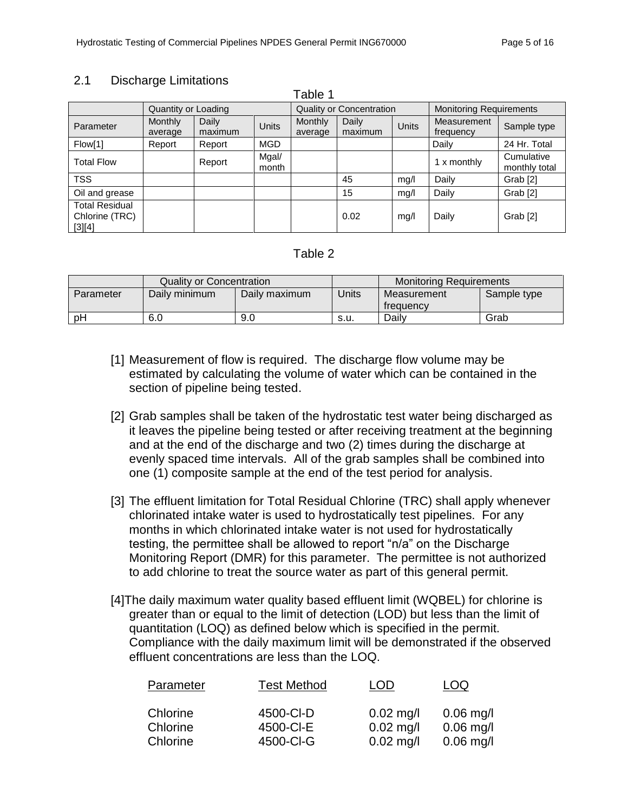# <span id="page-5-0"></span>2.1 Discharge Limitations

| apie                                              |                           |                  |                |                                 |                  |              |                                |                             |
|---------------------------------------------------|---------------------------|------------------|----------------|---------------------------------|------------------|--------------|--------------------------------|-----------------------------|
|                                                   | Quantity or Loading       |                  |                | <b>Quality or Concentration</b> |                  |              | <b>Monitoring Requirements</b> |                             |
| Parameter                                         | <b>Monthly</b><br>average | Daily<br>maximum | <b>Units</b>   | Monthly<br>average              | Daily<br>maximum | <b>Units</b> | Measurement<br>frequency       | Sample type                 |
| Flow[1]                                           | Report                    | Report           | <b>MGD</b>     |                                 |                  |              | Daily                          | 24 Hr. Total                |
| <b>Total Flow</b>                                 |                           | Report           | Mgal/<br>month |                                 |                  |              | 1 x monthly                    | Cumulative<br>monthly total |
| <b>TSS</b>                                        |                           |                  |                |                                 | 45               | mq/l         | Daily                          | Grab <sup>[2]</sup>         |
| Oil and grease                                    |                           |                  |                |                                 | 15               | mg/l         | Daily                          | Grab <sup>[2]</sup>         |
| <b>Total Residual</b><br>Chlorine (TRC)<br>[3][4] |                           |                  |                |                                 | 0.02             | mq/l         | Daily                          | Grab <sup>[2]</sup>         |

 $T = Ll = 4$ 

# Table 2

|           | <b>Quality or Concentration</b> |               |       | <b>Monitoring Requirements</b> |             |  |
|-----------|---------------------------------|---------------|-------|--------------------------------|-------------|--|
| Parameter | Daily minimum                   | Daily maximum | Jnits | Measurement<br>treauency       | Sample type |  |
| рH        | 6.0                             | 9.0           | s.u.  | Daily                          | Grab        |  |

- [1] Measurement of flow is required. The discharge flow volume may be estimated by calculating the volume of water which can be contained in the section of pipeline being tested.
- [2] Grab samples shall be taken of the hydrostatic test water being discharged as it leaves the pipeline being tested or after receiving treatment at the beginning and at the end of the discharge and two (2) times during the discharge at evenly spaced time intervals. All of the grab samples shall be combined into one (1) composite sample at the end of the test period for analysis.
- [3] The effluent limitation for Total Residual Chlorine (TRC) shall apply whenever chlorinated intake water is used to hydrostatically test pipelines. For any months in which chlorinated intake water is not used for hydrostatically testing, the permittee shall be allowed to report "n/a" on the Discharge Monitoring Report (DMR) for this parameter. The permittee is not authorized to add chlorine to treat the source water as part of this general permit.
- [4]The daily maximum water quality based effluent limit (WQBEL) for chlorine is greater than or equal to the limit of detection (LOD) but less than the limit of quantitation (LOQ) as defined below which is specified in the permit. Compliance with the daily maximum limit will be demonstrated if the observed effluent concentrations are less than the LOQ.

| Parameter            | <b>Test Method</b>     | LOD                        | LOQ                      |
|----------------------|------------------------|----------------------------|--------------------------|
| Chlorine<br>Chlorine | 4500-CI-D<br>4500-CI-E | $0.02$ mg/l<br>$0.02$ mg/l | $0.06$ mg/<br>$0.06$ mg/ |
| Chlorine             | 4500-CI-G              | $0.02$ mg/l                | $0.06$ mg/               |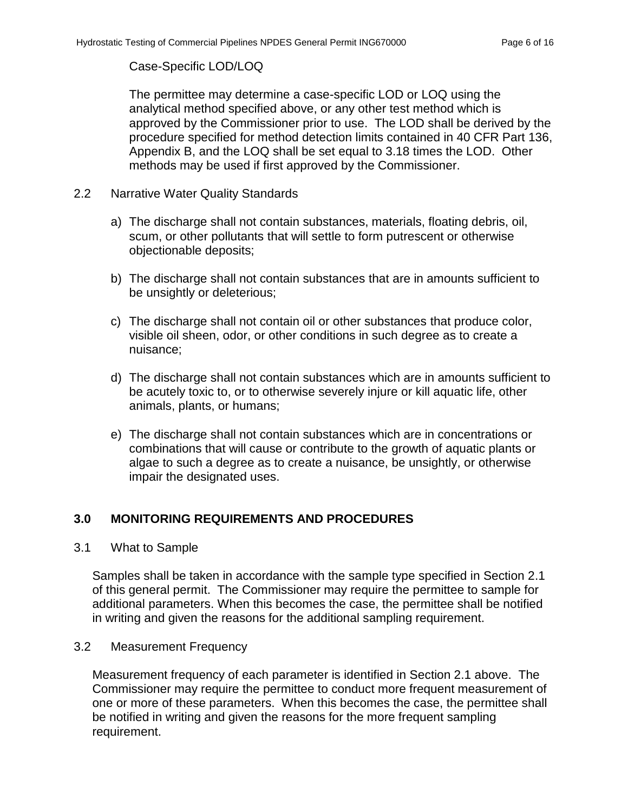# Case-Specific LOD/LOQ

The permittee may determine a case-specific LOD or LOQ using the analytical method specified above, or any other test method which is approved by the Commissioner prior to use. The LOD shall be derived by the procedure specified for method detection limits contained in 40 CFR Part 136, Appendix B, and the LOQ shall be set equal to 3.18 times the LOD. Other methods may be used if first approved by the Commissioner.

- <span id="page-6-0"></span>2.2 Narrative Water Quality Standards
	- a) The discharge shall not contain substances, materials, floating debris, oil, scum, or other pollutants that will settle to form putrescent or otherwise objectionable deposits;
	- b) The discharge shall not contain substances that are in amounts sufficient to be unsightly or deleterious;
	- c) The discharge shall not contain oil or other substances that produce color, visible oil sheen, odor, or other conditions in such degree as to create a nuisance;
	- d) The discharge shall not contain substances which are in amounts sufficient to be acutely toxic to, or to otherwise severely injure or kill aquatic life, other animals, plants, or humans;
	- e) The discharge shall not contain substances which are in concentrations or combinations that will cause or contribute to the growth of aquatic plants or algae to such a degree as to create a nuisance, be unsightly, or otherwise impair the designated uses.

# <span id="page-6-1"></span>**3.0 MONITORING REQUIREMENTS AND PROCEDURES**

<span id="page-6-2"></span>3.1 What to Sample

Samples shall be taken in accordance with the sample type specified in Section 2.1 of this general permit. The Commissioner may require the permittee to sample for additional parameters. When this becomes the case, the permittee shall be notified in writing and given the reasons for the additional sampling requirement.

# <span id="page-6-3"></span>3.2 Measurement Frequency

Measurement frequency of each parameter is identified in Section 2.1 above. The Commissioner may require the permittee to conduct more frequent measurement of one or more of these parameters. When this becomes the case, the permittee shall be notified in writing and given the reasons for the more frequent sampling requirement.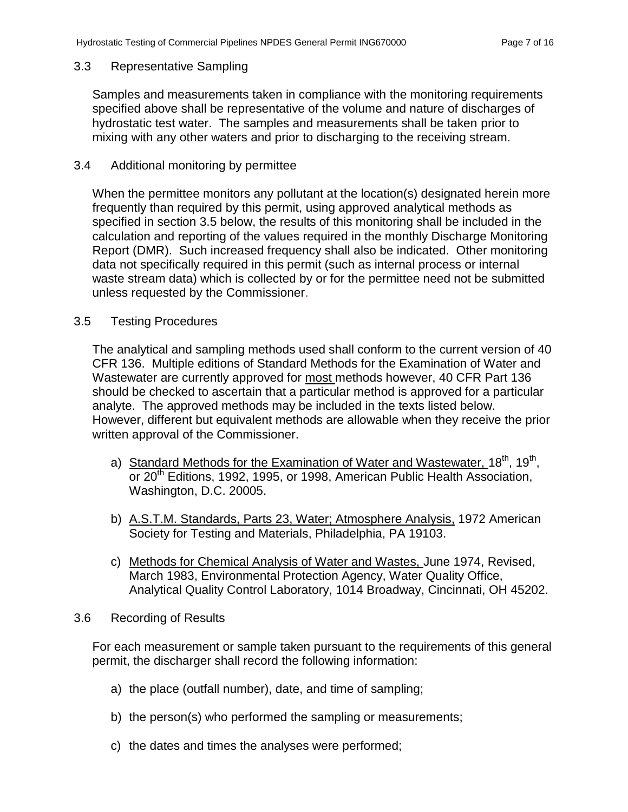### <span id="page-7-0"></span>3.3 Representative Sampling

<span id="page-7-1"></span>Samples and measurements taken in compliance with the monitoring requirements specified above shall be representative of the volume and nature of discharges of hydrostatic test water. The samples and measurements shall be taken prior to mixing with any other waters and prior to discharging to the receiving stream.

### 3.4 Additional monitoring by permittee

When the permittee monitors any pollutant at the location(s) designated herein more frequently than required by this permit, using approved analytical methods as specified in section 3.5 below, the results of this monitoring shall be included in the calculation and reporting of the values required in the monthly Discharge Monitoring Report (DMR). Such increased frequency shall also be indicated. Other monitoring data not specifically required in this permit (such as internal process or internal waste stream data) which is collected by or for the permittee need not be submitted unless requested by the Commissioner.

## <span id="page-7-2"></span>3.5 Testing Procedures

The analytical and sampling methods used shall conform to the current version of 40 CFR 136. Multiple editions of Standard Methods for the Examination of Water and Wastewater are currently approved for most methods however, 40 CFR Part 136 should be checked to ascertain that a particular method is approved for a particular analyte. The approved methods may be included in the texts listed below. However, different but equivalent methods are allowable when they receive the prior written approval of the Commissioner.

- a) Standard Methods for the Examination of Water and Wastewater, 18<sup>th</sup>, 19<sup>th</sup>, or 20<sup>th</sup> Editions, 1992, 1995, or 1998, American Public Health Association, Washington, D.C. 20005.
- b) A.S.T.M. Standards, Parts 23, Water; Atmosphere Analysis, 1972 American Society for Testing and Materials, Philadelphia, PA 19103.
- c) Methods for Chemical Analysis of Water and Wastes, June 1974, Revised, March 1983, Environmental Protection Agency, Water Quality Office, Analytical Quality Control Laboratory, 1014 Broadway, Cincinnati, OH 45202.
- <span id="page-7-3"></span>3.6 Recording of Results

For each measurement or sample taken pursuant to the requirements of this general permit, the discharger shall record the following information:

- a) the place (outfall number), date, and time of sampling;
- b) the person(s) who performed the sampling or measurements;
- c) the dates and times the analyses were performed;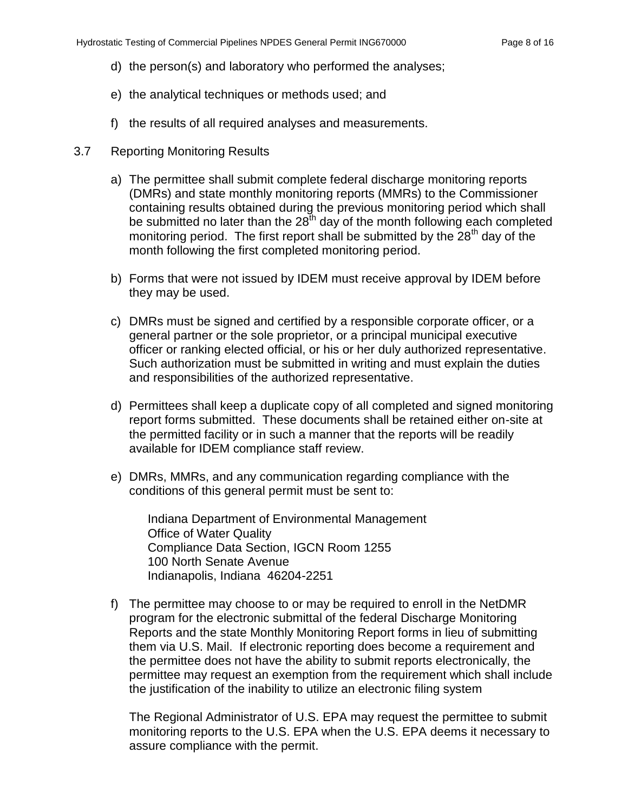- d) the person(s) and laboratory who performed the analyses;
- e) the analytical techniques or methods used; and
- f) the results of all required analyses and measurements.
- <span id="page-8-0"></span>3.7 Reporting Monitoring Results
	- a) The permittee shall submit complete federal discharge monitoring reports (DMRs) and state monthly monitoring reports (MMRs) to the Commissioner containing results obtained during the previous monitoring period which shall be submitted no later than the  $28<sup>th</sup>$  day of the month following each completed monitoring period. The first report shall be submitted by the  $28<sup>th</sup>$  day of the month following the first completed monitoring period.
	- b) Forms that were not issued by IDEM must receive approval by IDEM before they may be used.
	- c) DMRs must be signed and certified by a responsible corporate officer, or a general partner or the sole proprietor, or a principal municipal executive officer or ranking elected official, or his or her duly authorized representative. Such authorization must be submitted in writing and must explain the duties and responsibilities of the authorized representative.
	- d) Permittees shall keep a duplicate copy of all completed and signed monitoring report forms submitted. These documents shall be retained either on-site at the permitted facility or in such a manner that the reports will be readily available for IDEM compliance staff review.
	- e) DMRs, MMRs, and any communication regarding compliance with the conditions of this general permit must be sent to:

Indiana Department of Environmental Management Office of Water Quality Compliance Data Section, IGCN Room 1255 100 North Senate Avenue Indianapolis, Indiana 46204-2251

f) The permittee may choose to or may be required to enroll in the NetDMR program for the electronic submittal of the federal Discharge Monitoring Reports and the state Monthly Monitoring Report forms in lieu of submitting them via U.S. Mail. If electronic reporting does become a requirement and the permittee does not have the ability to submit reports electronically, the permittee may request an exemption from the requirement which shall include the justification of the inability to utilize an electronic filing system

The Regional Administrator of U.S. EPA may request the permittee to submit monitoring reports to the U.S. EPA when the U.S. EPA deems it necessary to assure compliance with the permit.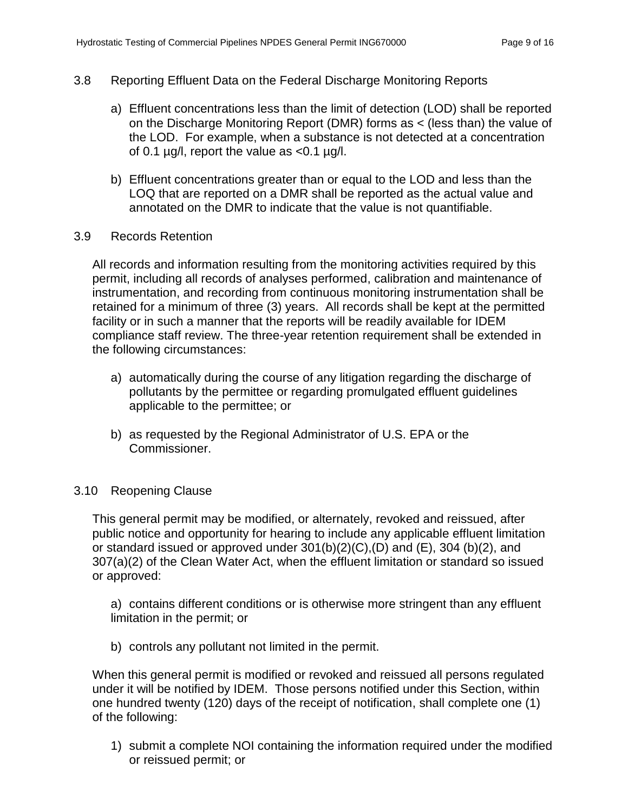## <span id="page-9-0"></span>3.8 Reporting Effluent Data on the Federal Discharge Monitoring Reports

- a) Effluent concentrations less than the limit of detection (LOD) shall be reported on the Discharge Monitoring Report (DMR) forms as < (less than) the value of the LOD. For example, when a substance is not detected at a concentration of 0.1  $\mu$ g/l, report the value as <0.1  $\mu$ g/l.
- b) Effluent concentrations greater than or equal to the LOD and less than the LOQ that are reported on a DMR shall be reported as the actual value and annotated on the DMR to indicate that the value is not quantifiable.
- <span id="page-9-1"></span>3.9 Records Retention

All records and information resulting from the monitoring activities required by this permit, including all records of analyses performed, calibration and maintenance of instrumentation, and recording from continuous monitoring instrumentation shall be retained for a minimum of three (3) years. All records shall be kept at the permitted facility or in such a manner that the reports will be readily available for IDEM compliance staff review. The three-year retention requirement shall be extended in the following circumstances:

- a) automatically during the course of any litigation regarding the discharge of pollutants by the permittee or regarding promulgated effluent guidelines applicable to the permittee; or
- b) as requested by the Regional Administrator of U.S. EPA or the Commissioner.

#### <span id="page-9-2"></span>3.10 Reopening Clause

This general permit may be modified, or alternately, revoked and reissued, after public notice and opportunity for hearing to include any applicable effluent limitation or standard issued or approved under  $301(b)(2)(C)$ ,  $(D)$  and  $(E)$ ,  $304$   $(b)(2)$ , and 307(a)(2) of the Clean Water Act, when the effluent limitation or standard so issued or approved:

a) contains different conditions or is otherwise more stringent than any effluent limitation in the permit; or

b) controls any pollutant not limited in the permit.

When this general permit is modified or revoked and reissued all persons regulated under it will be notified by IDEM. Those persons notified under this Section, within one hundred twenty (120) days of the receipt of notification, shall complete one (1) of the following:

1) submit a complete NOI containing the information required under the modified or reissued permit; or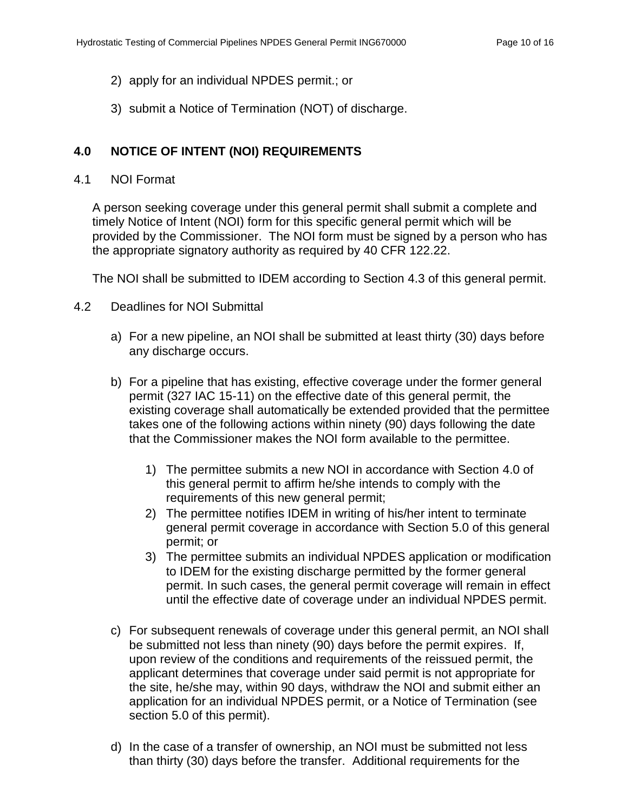- 2) apply for an individual NPDES permit.; or
- 3) submit a Notice of Termination (NOT) of discharge.

# <span id="page-10-0"></span>**4.0 NOTICE OF INTENT (NOI) REQUIREMENTS**

## <span id="page-10-1"></span>4.1 NOI Format

A person seeking coverage under this general permit shall submit a complete and timely Notice of Intent (NOI) form for this specific general permit which will be provided by the Commissioner. The NOI form must be signed by a person who has the appropriate signatory authority as required by 40 CFR 122.22.

The NOI shall be submitted to IDEM according to Section 4.3 of this general permit.

- <span id="page-10-2"></span>4.2 Deadlines for NOI Submittal
	- a) For a new pipeline, an NOI shall be submitted at least thirty (30) days before any discharge occurs.
	- b) For a pipeline that has existing, effective coverage under the former general permit (327 IAC 15-11) on the effective date of this general permit, the existing coverage shall automatically be extended provided that the permittee takes one of the following actions within ninety (90) days following the date that the Commissioner makes the NOI form available to the permittee.
		- 1) The permittee submits a new NOI in accordance with Section 4.0 of this general permit to affirm he/she intends to comply with the requirements of this new general permit;
		- 2) The permittee notifies IDEM in writing of his/her intent to terminate general permit coverage in accordance with Section 5.0 of this general permit; or
		- 3) The permittee submits an individual NPDES application or modification to IDEM for the existing discharge permitted by the former general permit. In such cases, the general permit coverage will remain in effect until the effective date of coverage under an individual NPDES permit.
	- c) For subsequent renewals of coverage under this general permit, an NOI shall be submitted not less than ninety (90) days before the permit expires. If, upon review of the conditions and requirements of the reissued permit, the applicant determines that coverage under said permit is not appropriate for the site, he/she may, within 90 days, withdraw the NOI and submit either an application for an individual NPDES permit, or a Notice of Termination (see section 5.0 of this permit).
	- d) In the case of a transfer of ownership, an NOI must be submitted not less than thirty (30) days before the transfer. Additional requirements for the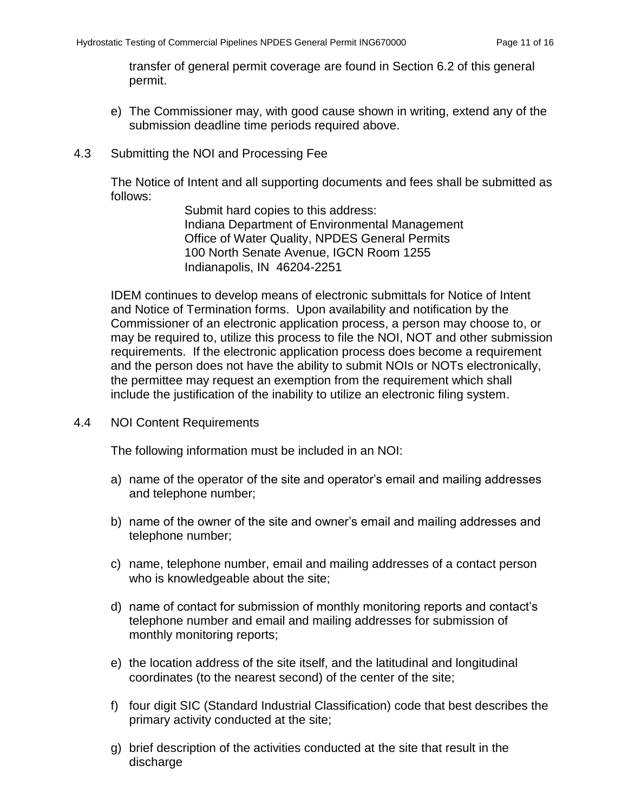transfer of general permit coverage are found in Section 6.2 of this general permit.

- e) The Commissioner may, with good cause shown in writing, extend any of the submission deadline time periods required above.
- <span id="page-11-0"></span>4.3 Submitting the NOI and Processing Fee

The Notice of Intent and all supporting documents and fees shall be submitted as follows:

> Submit hard copies to this address: Indiana Department of Environmental Management Office of Water Quality, NPDES General Permits 100 North Senate Avenue, IGCN Room 1255 Indianapolis, IN 46204-2251

IDEM continues to develop means of electronic submittals for Notice of Intent and Notice of Termination forms. Upon availability and notification by the Commissioner of an electronic application process, a person may choose to, or may be required to, utilize this process to file the NOI, NOT and other submission requirements. If the electronic application process does become a requirement and the person does not have the ability to submit NOIs or NOTs electronically, the permittee may request an exemption from the requirement which shall include the justification of the inability to utilize an electronic filing system.

<span id="page-11-1"></span>4.4 NOI Content Requirements

The following information must be included in an NOI:

- a) name of the operator of the site and operator's email and mailing addresses and telephone number;
- b) name of the owner of the site and owner's email and mailing addresses and telephone number;
- c) name, telephone number, email and mailing addresses of a contact person who is knowledgeable about the site;
- d) name of contact for submission of monthly monitoring reports and contact's telephone number and email and mailing addresses for submission of monthly monitoring reports;
- e) the location address of the site itself, and the latitudinal and longitudinal coordinates (to the nearest second) of the center of the site;
- f) four digit SIC (Standard Industrial Classification) code that best describes the primary activity conducted at the site;
- g) brief description of the activities conducted at the site that result in the discharge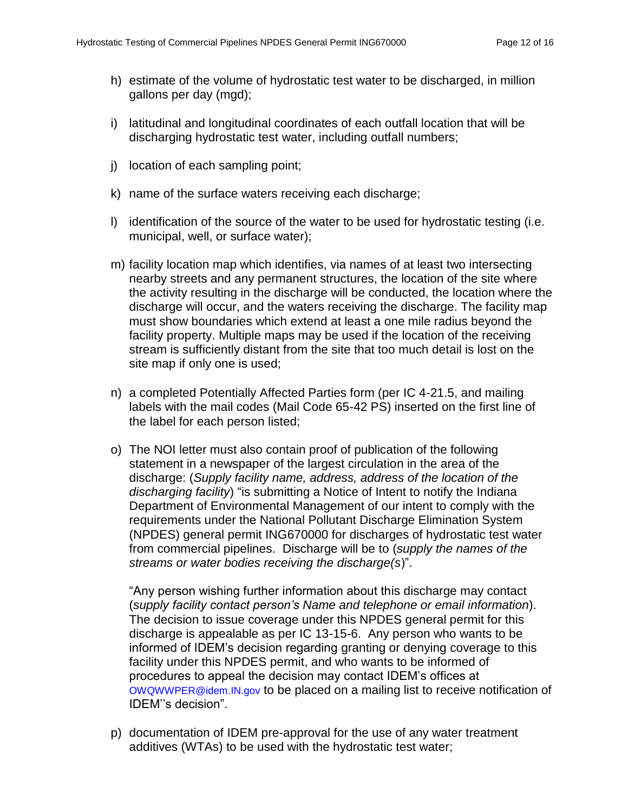- h) estimate of the volume of hydrostatic test water to be discharged, in million gallons per day (mgd);
- i) latitudinal and longitudinal coordinates of each outfall location that will be discharging hydrostatic test water, including outfall numbers;
- j) location of each sampling point;
- k) name of the surface waters receiving each discharge;
- l) identification of the source of the water to be used for hydrostatic testing (i.e. municipal, well, or surface water);
- m) facility location map which identifies, via names of at least two intersecting nearby streets and any permanent structures, the location of the site where the activity resulting in the discharge will be conducted, the location where the discharge will occur, and the waters receiving the discharge. The facility map must show boundaries which extend at least a one mile radius beyond the facility property. Multiple maps may be used if the location of the receiving stream is sufficiently distant from the site that too much detail is lost on the site map if only one is used;
- n) a completed Potentially Affected Parties form (per IC 4-21.5, and mailing labels with the mail codes (Mail Code 65-42 PS) inserted on the first line of the label for each person listed;
- o) The NOI letter must also contain proof of publication of the following statement in a newspaper of the largest circulation in the area of the discharge: (*Supply facility name, address, address of the location of the discharging facility*) "is submitting a Notice of Intent to notify the Indiana Department of Environmental Management of our intent to comply with the requirements under the National Pollutant Discharge Elimination System (NPDES) general permit ING670000 for discharges of hydrostatic test water from commercial pipelines. Discharge will be to (*supply the names of the streams or water bodies receiving the discharge(s*)".

"Any person wishing further information about this discharge may contact (*supply facility contact person's Name and telephone or email information*). The decision to issue coverage under this NPDES general permit for this discharge is appealable as per IC 13-15-6. Any person who wants to be informed of IDEM's decision regarding granting or denying coverage to this facility under this NPDES permit, and who wants to be informed of procedures to appeal the decision may contact IDEM's offices at [OWQWWPER@idem.IN.gov](mailto:OWQWWPER@idem.IN.gov) to be placed on a mailing list to receive notification of IDEM''s decision".

p) documentation of IDEM pre-approval for the use of any water treatment additives (WTAs) to be used with the hydrostatic test water;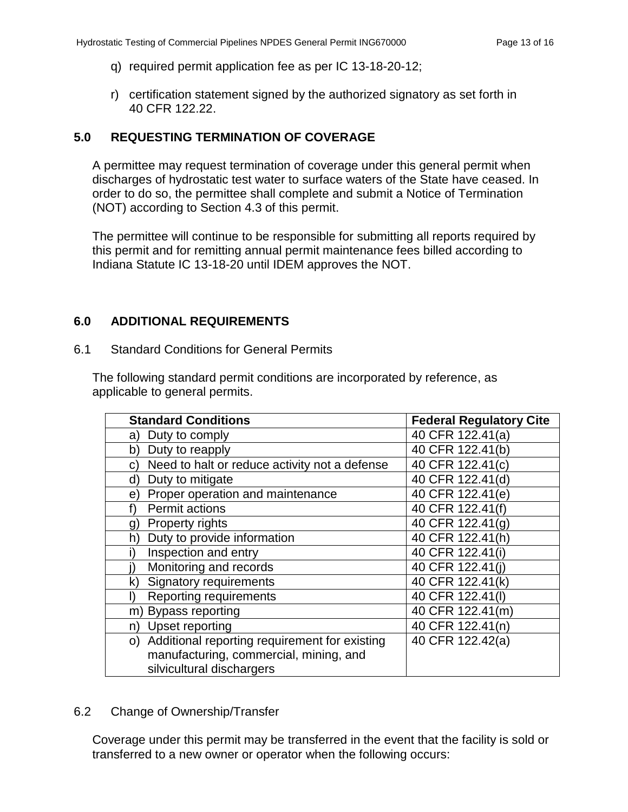- q) required permit application fee as per IC 13-18-20-12;
- r) certification statement signed by the authorized signatory as set forth in 40 CFR 122.22.

## <span id="page-13-0"></span>**5.0 REQUESTING TERMINATION OF COVERAGE**

A permittee may request termination of coverage under this general permit when discharges of hydrostatic test water to surface waters of the State have ceased. In order to do so, the permittee shall complete and submit a Notice of Termination (NOT) according to Section 4.3 of this permit.

The permittee will continue to be responsible for submitting all reports required by this permit and for remitting annual permit maintenance fees billed according to Indiana Statute IC 13-18-20 until IDEM approves the NOT.

## <span id="page-13-1"></span>**6.0 ADDITIONAL REQUIREMENTS**

<span id="page-13-2"></span>6.1 Standard Conditions for General Permits

The following standard permit conditions are incorporated by reference, as applicable to general permits.

| <b>Standard Conditions</b>                          | <b>Federal Regulatory Cite</b> |
|-----------------------------------------------------|--------------------------------|
| Duty to comply<br>a)                                | 40 CFR 122.41(a)               |
| Duty to reapply<br>b)                               | 40 CFR 122.41(b)               |
| Need to halt or reduce activity not a defense<br>C) | 40 CFR 122.41(c)               |
| Duty to mitigate<br>d)                              | 40 CFR 122.41(d)               |
| Proper operation and maintenance<br>e)              | 40 CFR 122.41(e)               |
| Permit actions                                      | 40 CFR 122.41(f)               |
| <b>Property rights</b><br>g)                        | 40 CFR 122.41(q)               |
| Duty to provide information<br>h)                   | 40 CFR 122.41(h)               |
| Inspection and entry                                | 40 CFR 122.41(i)               |
| Monitoring and records                              | 40 CFR 122.41(i)               |
| <b>Signatory requirements</b><br>k)                 | 40 CFR 122.41(k)               |
| <b>Reporting requirements</b><br>Ð                  | 40 CFR 122.41(I)               |
| <b>Bypass reporting</b><br>m)                       | 40 CFR 122.41(m)               |
| Upset reporting<br>n)                               | 40 CFR 122.41(n)               |
| o) Additional reporting requirement for existing    | 40 CFR 122.42(a)               |
| manufacturing, commercial, mining, and              |                                |
| silvicultural dischargers                           |                                |

#### <span id="page-13-3"></span>6.2 Change of Ownership/Transfer

Coverage under this permit may be transferred in the event that the facility is sold or transferred to a new owner or operator when the following occurs: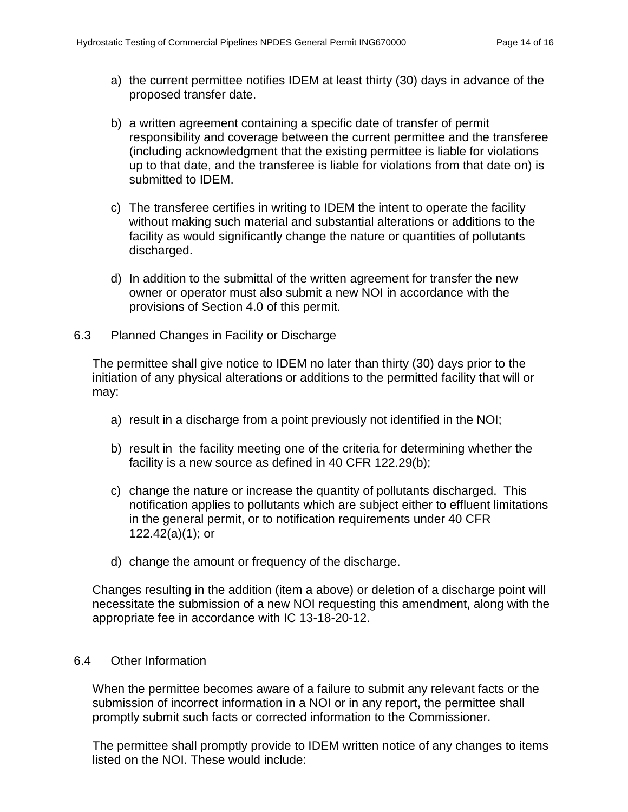- a) the current permittee notifies IDEM at least thirty (30) days in advance of the proposed transfer date.
- b) a written agreement containing a specific date of transfer of permit responsibility and coverage between the current permittee and the transferee (including acknowledgment that the existing permittee is liable for violations up to that date, and the transferee is liable for violations from that date on) is submitted to IDEM.
- c) The transferee certifies in writing to IDEM the intent to operate the facility without making such material and substantial alterations or additions to the facility as would significantly change the nature or quantities of pollutants discharged.
- d) In addition to the submittal of the written agreement for transfer the new owner or operator must also submit a new NOI in accordance with the provisions of Section 4.0 of this permit.
- <span id="page-14-0"></span>6.3 Planned Changes in Facility or Discharge

The permittee shall give notice to IDEM no later than thirty (30) days prior to the initiation of any physical alterations or additions to the permitted facility that will or may:

- a) result in a discharge from a point previously not identified in the NOI;
- b) result in the facility meeting one of the criteria for determining whether the facility is a new source as defined in 40 CFR 122.29(b);
- c) change the nature or increase the quantity of pollutants discharged. This notification applies to pollutants which are subject either to effluent limitations in the general permit, or to notification requirements under 40 CFR 122.42(a)(1); or
- d) change the amount or frequency of the discharge.

Changes resulting in the addition (item a above) or deletion of a discharge point will necessitate the submission of a new NOI requesting this amendment, along with the appropriate fee in accordance with IC 13-18-20-12.

# <span id="page-14-1"></span>6.4 Other Information

When the permittee becomes aware of a failure to submit any relevant facts or the submission of incorrect information in a NOI or in any report, the permittee shall promptly submit such facts or corrected information to the Commissioner.

The permittee shall promptly provide to IDEM written notice of any changes to items listed on the NOI. These would include: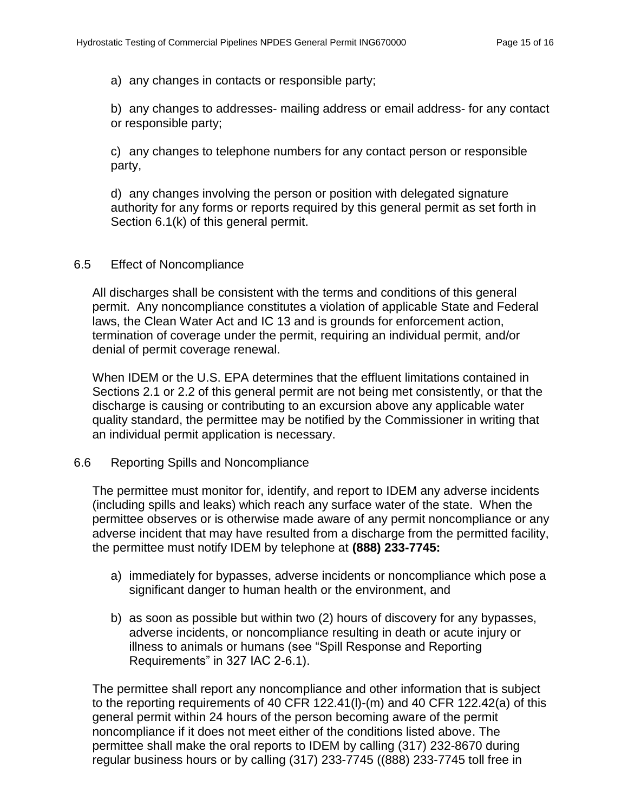a) any changes in contacts or responsible party;

b) any changes to addresses- mailing address or email address- for any contact or responsible party;

c) any changes to telephone numbers for any contact person or responsible party,

d) any changes involving the person or position with delegated signature authority for any forms or reports required by this general permit as set forth in Section 6.1(k) of this general permit.

#### <span id="page-15-0"></span>6.5 Effect of Noncompliance

All discharges shall be consistent with the terms and conditions of this general permit. Any noncompliance constitutes a violation of applicable State and Federal laws, the Clean Water Act and IC 13 and is grounds for enforcement action, termination of coverage under the permit, requiring an individual permit, and/or denial of permit coverage renewal.

When IDEM or the U.S. EPA determines that the effluent limitations contained in Sections 2.1 or 2.2 of this general permit are not being met consistently, or that the discharge is causing or contributing to an excursion above any applicable water quality standard, the permittee may be notified by the Commissioner in writing that an individual permit application is necessary.

#### <span id="page-15-1"></span>6.6 Reporting Spills and Noncompliance

The permittee must monitor for, identify, and report to IDEM any adverse incidents (including spills and leaks) which reach any surface water of the state. When the permittee observes or is otherwise made aware of any permit noncompliance or any adverse incident that may have resulted from a discharge from the permitted facility, the permittee must notify IDEM by telephone at **(888) 233-7745:**

- a) immediately for bypasses, adverse incidents or noncompliance which pose a significant danger to human health or the environment, and
- b) as soon as possible but within two (2) hours of discovery for any bypasses, adverse incidents, or noncompliance resulting in death or acute injury or illness to animals or humans (see "Spill Response and Reporting Requirements" in 327 IAC 2-6.1).

The permittee shall report any noncompliance and other information that is subject to the reporting requirements of 40 CFR 122.41(l)-(m) and 40 CFR 122.42(a) of this general permit within 24 hours of the person becoming aware of the permit noncompliance if it does not meet either of the conditions listed above. The permittee shall make the oral reports to IDEM by calling (317) 232-8670 during regular business hours or by calling (317) 233-7745 ((888) 233-7745 toll free in